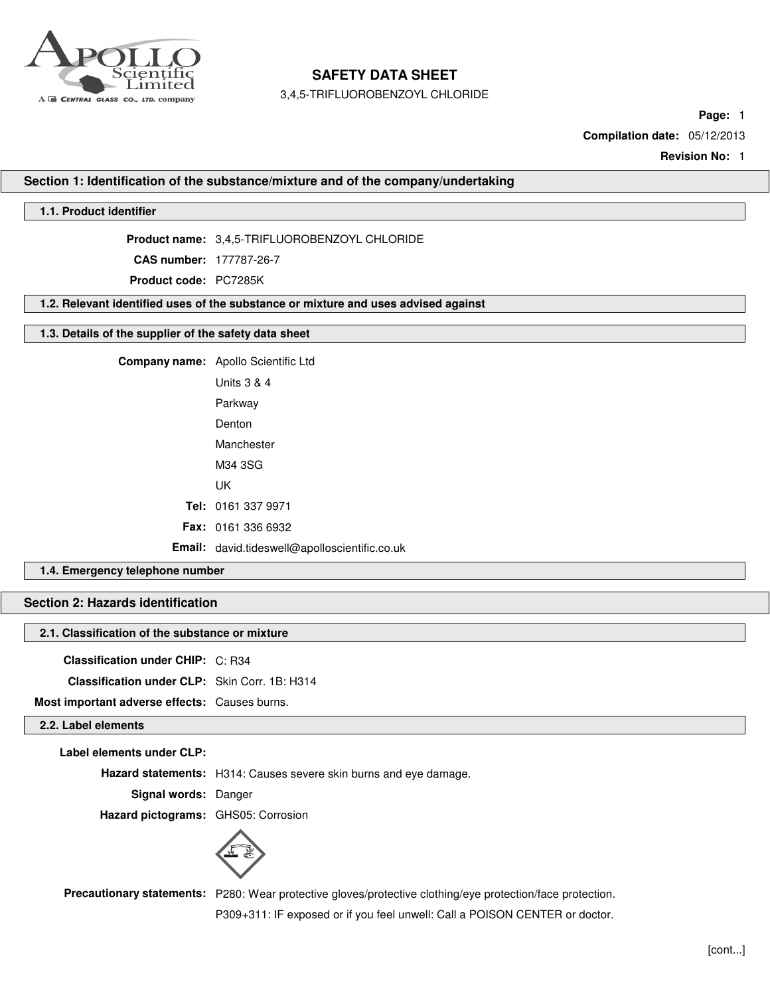

3,4,5-TRIFLUOROBENZOYL CHLORIDE

**Page:** 1

**Compilation date:** 05/12/2013

**Revision No:** 1

**Section 1: Identification of the substance/mixture and of the company/undertaking**

### **1.1. Product identifier**

**Product name:** 3,4,5-TRIFLUOROBENZOYL CHLORIDE

**CAS number:** 177787-26-7

**Product code:** PC7285K

**1.2. Relevant identified uses of the substance or mixture and uses advised against**

### **1.3. Details of the supplier of the safety data sheet**

**Company name:** Apollo Scientific Ltd Units 3 & 4 Parkway Denton

Manchester

M34 3SG

UK

**Tel:** 0161 337 9971

**Fax:** 0161 336 6932

**Email:** david.tideswell@apolloscientific.co.uk

### **1.4. Emergency telephone number**

## **Section 2: Hazards identification**

#### **2.1. Classification of the substance or mixture**

**Classification under CHIP:** C: R34 **Classification under CLP:** Skin Corr. 1B: H314 **Most important adverse effects:** Causes burns.

## **2.2. Label elements**

| Label elements under CLP:           |                                                                   |
|-------------------------------------|-------------------------------------------------------------------|
|                                     | Hazard statements: H314: Causes severe skin burns and eye damage. |
| Signal words: Danger                |                                                                   |
| Hazard pictograms: GHS05: Corrosion |                                                                   |
|                                     |                                                                   |

**Precautionary statements:** P280: Wear protective gloves/protective clothing/eye protection/face protection. P309+311: IF exposed or if you feel unwell: Call a POISON CENTER or doctor.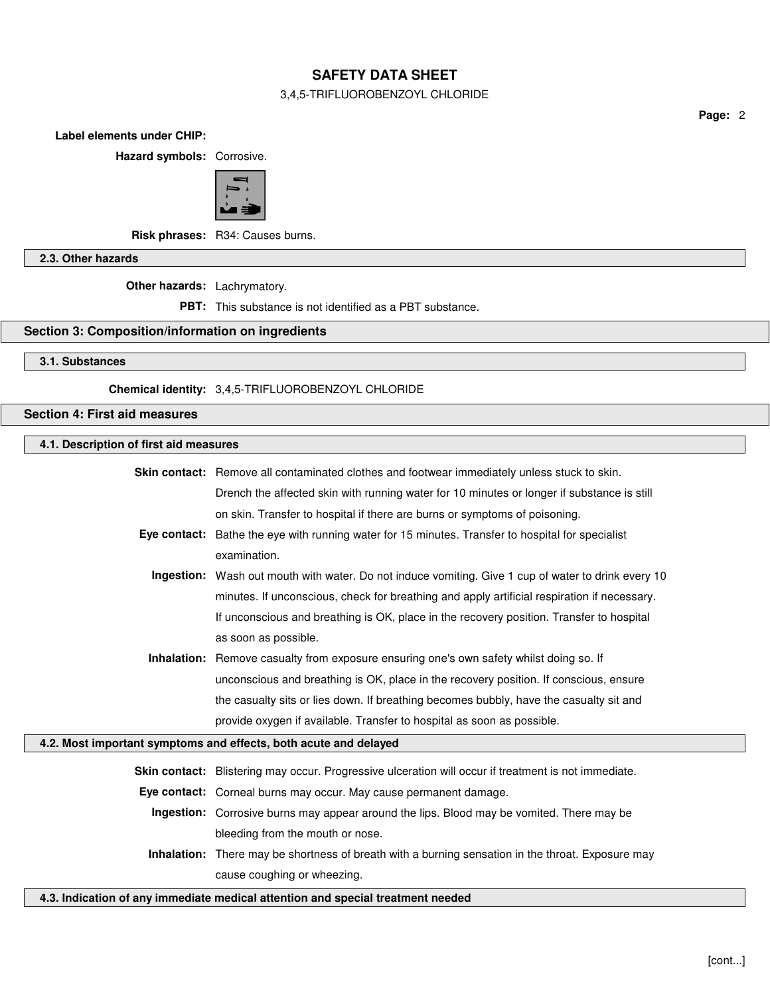### 3,4,5-TRIFLUOROBENZOYL CHLORIDE

**Page:** 2

**Label elements under CHIP:**

**Hazard symbols:** Corrosive.



**Risk phrases:** R34: Causes burns.

**2.3. Other hazards**

**Other hazards:** Lachrymatory.

**PBT:** This substance is not identified as a PBT substance.

## **Section 3: Composition/information on ingredients**

**3.1. Substances**

**Chemical identity:** 3,4,5-TRIFLUOROBENZOYL CHLORIDE

**Section 4: First aid measures**

| 4.1. Description of first aid measures                                          |                                                                                                      |  |
|---------------------------------------------------------------------------------|------------------------------------------------------------------------------------------------------|--|
|                                                                                 | <b>Skin contact:</b> Remove all contaminated clothes and footwear immediately unless stuck to skin.  |  |
|                                                                                 | Drench the affected skin with running water for 10 minutes or longer if substance is still           |  |
|                                                                                 | on skin. Transfer to hospital if there are burns or symptoms of poisoning.                           |  |
|                                                                                 | Eye contact: Bathe the eye with running water for 15 minutes. Transfer to hospital for specialist    |  |
|                                                                                 | examination.                                                                                         |  |
|                                                                                 | Ingestion: Wash out mouth with water. Do not induce vomiting. Give 1 cup of water to drink every 10  |  |
|                                                                                 | minutes. If unconscious, check for breathing and apply artificial respiration if necessary.          |  |
|                                                                                 | If unconscious and breathing is OK, place in the recovery position. Transfer to hospital             |  |
|                                                                                 | as soon as possible.                                                                                 |  |
|                                                                                 | Inhalation: Remove casualty from exposure ensuring one's own safety whilst doing so. If              |  |
|                                                                                 | unconscious and breathing is OK, place in the recovery position. If conscious, ensure                |  |
|                                                                                 | the casualty sits or lies down. If breathing becomes bubbly, have the casualty sit and               |  |
|                                                                                 | provide oxygen if available. Transfer to hospital as soon as possible.                               |  |
|                                                                                 | 4.2. Most important symptoms and effects, both acute and delayed                                     |  |
|                                                                                 | Skin contact: Blistering may occur. Progressive ulceration will occur if treatment is not immediate. |  |
|                                                                                 | Eye contact: Corneal burns may occur. May cause permanent damage.                                    |  |
|                                                                                 | Ingestion: Corrosive burns may appear around the lips. Blood may be vomited. There may be            |  |
|                                                                                 | bleeding from the mouth or nose.                                                                     |  |
|                                                                                 | Inhalation: There may be shortness of breath with a burning sensation in the throat. Exposure may    |  |
|                                                                                 | cause coughing or wheezing.                                                                          |  |
| 4.3. Indication of any immediate medical attention and special treatment needed |                                                                                                      |  |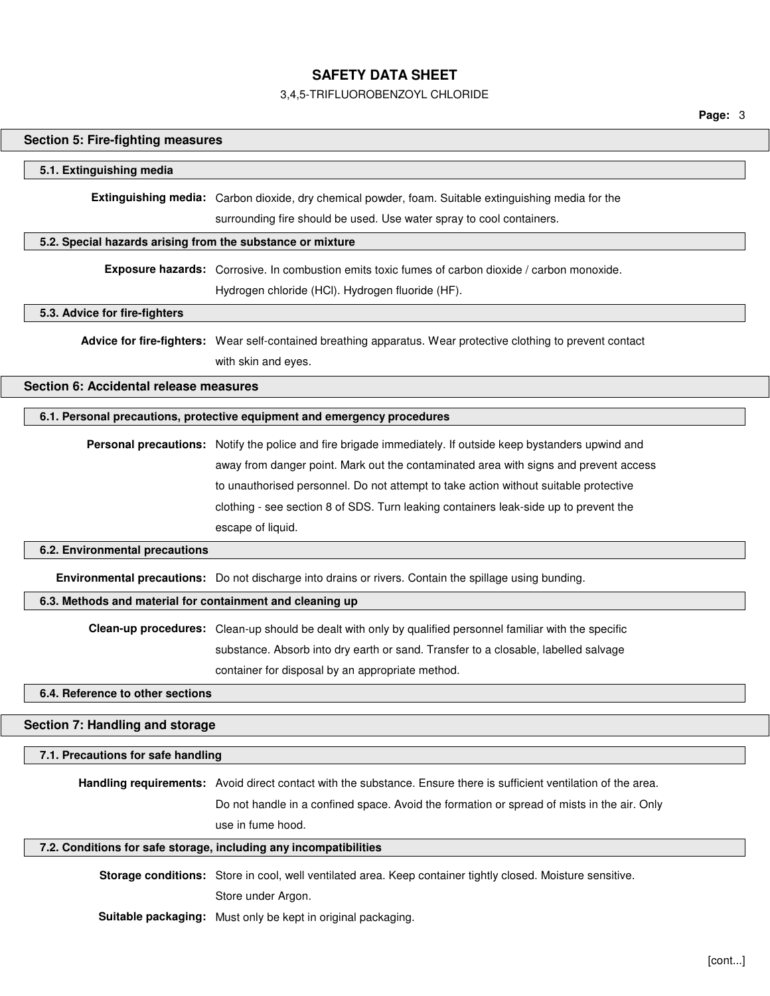# 3,4,5-TRIFLUOROBENZOYL CHLORIDE

**Page:** 3

| <b>Section 5: Fire-fighting measures</b>                   |                                                                                                                     |  |
|------------------------------------------------------------|---------------------------------------------------------------------------------------------------------------------|--|
| 5.1. Extinguishing media                                   |                                                                                                                     |  |
|                                                            | <b>Extinguishing media:</b> Carbon dioxide, dry chemical powder, foam. Suitable extinguishing media for the         |  |
|                                                            | surrounding fire should be used. Use water spray to cool containers.                                                |  |
| 5.2. Special hazards arising from the substance or mixture |                                                                                                                     |  |
|                                                            | Exposure hazards: Corrosive. In combustion emits toxic fumes of carbon dioxide / carbon monoxide.                   |  |
|                                                            | Hydrogen chloride (HCl). Hydrogen fluoride (HF).                                                                    |  |
| 5.3. Advice for fire-fighters                              |                                                                                                                     |  |
|                                                            | Advice for fire-fighters: Wear self-contained breathing apparatus. Wear protective clothing to prevent contact      |  |
|                                                            | with skin and eyes.                                                                                                 |  |
| Section 6: Accidental release measures                     |                                                                                                                     |  |
|                                                            | 6.1. Personal precautions, protective equipment and emergency procedures                                            |  |
|                                                            | Personal precautions: Notify the police and fire brigade immediately. If outside keep bystanders upwind and         |  |
|                                                            | away from danger point. Mark out the contaminated area with signs and prevent access                                |  |
|                                                            | to unauthorised personnel. Do not attempt to take action without suitable protective                                |  |
|                                                            | clothing - see section 8 of SDS. Turn leaking containers leak-side up to prevent the                                |  |
|                                                            | escape of liquid.                                                                                                   |  |
| 6.2. Environmental precautions                             |                                                                                                                     |  |
|                                                            | Environmental precautions: Do not discharge into drains or rivers. Contain the spillage using bunding.              |  |
| 6.3. Methods and material for containment and cleaning up  |                                                                                                                     |  |
|                                                            | Clean-up procedures: Clean-up should be dealt with only by qualified personnel familiar with the specific           |  |
|                                                            | substance. Absorb into dry earth or sand. Transfer to a closable, labelled salvage                                  |  |
|                                                            | container for disposal by an appropriate method.                                                                    |  |
| 6.4. Reference to other sections                           |                                                                                                                     |  |
| Section 7: Handling and storage                            |                                                                                                                     |  |
| 7.1. Precautions for safe handling                         |                                                                                                                     |  |
|                                                            | Handling requirements: Avoid direct contact with the substance. Ensure there is sufficient ventilation of the area. |  |
|                                                            | Do not handle in a confined space. Avoid the formation or spread of mists in the air. Only                          |  |
|                                                            | use in fume hood.                                                                                                   |  |
|                                                            | 7.2. Conditions for safe storage, including any incompatibilities                                                   |  |
|                                                            | Storage conditions: Store in cool, well ventilated area. Keep container tightly closed. Moisture sensitive.         |  |
|                                                            | Store under Argon.                                                                                                  |  |
|                                                            | Suitable packaging: Must only be kept in original packaging.                                                        |  |
|                                                            |                                                                                                                     |  |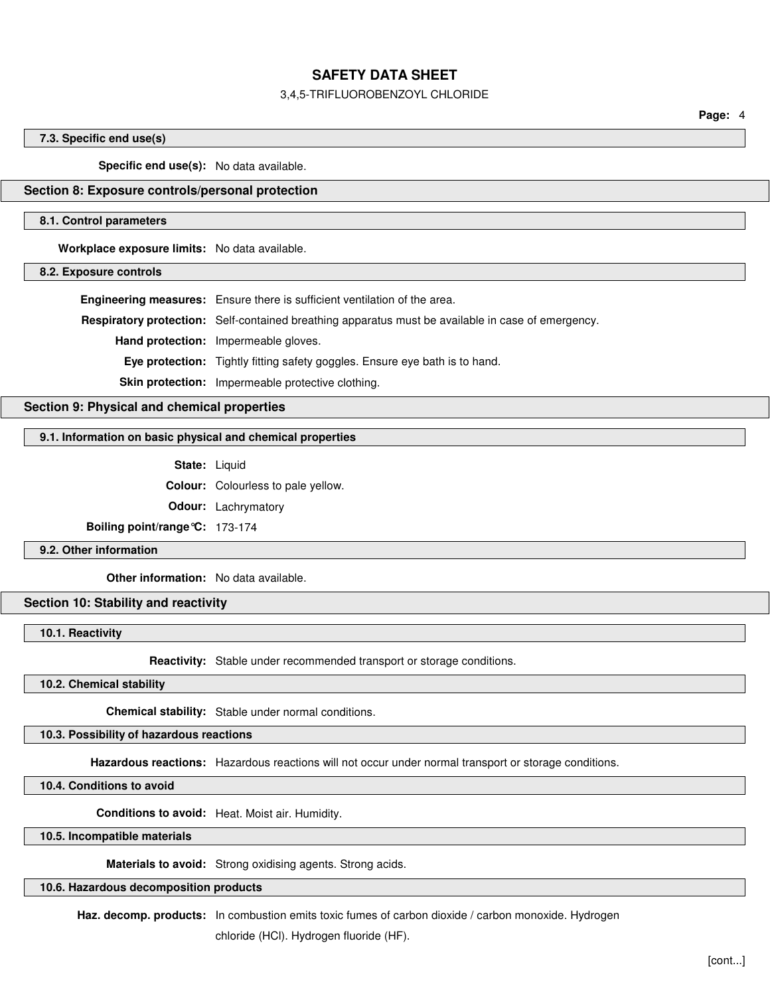### 3,4,5-TRIFLUOROBENZOYL CHLORIDE

**Page:** 4

### **7.3. Specific end use(s)**

**Specific end use(s):** No data available.

#### **Section 8: Exposure controls/personal protection**

#### **8.1. Control parameters**

**Workplace exposure limits:** No data available.

**8.2. Exposure controls**

**Engineering measures:** Ensure there is sufficient ventilation of the area.

**Respiratory protection:** Self-contained breathing apparatus must be available in case of emergency.

**Hand protection:** Impermeable gloves.

**Eye protection:** Tightly fitting safety goggles. Ensure eye bath is to hand.

**Skin protection:** Impermeable protective clothing.

**Section 9: Physical and chemical properties**

### **9.1. Information on basic physical and chemical properties**

**State:** Liquid

**Colour:** Colourless to pale yellow.

**Odour:** Lachrymatory

**Boiling point/range°C:** 173-174

**9.2. Other information**

**Other information:** No data available.

### **Section 10: Stability and reactivity**

**10.1. Reactivity**

**Reactivity:** Stable under recommended transport or storage conditions.

**10.2. Chemical stability**

**Chemical stability:** Stable under normal conditions.

## **10.3. Possibility of hazardous reactions**

**Hazardous reactions:** Hazardous reactions will not occur under normal transport or storage conditions.

**10.4. Conditions to avoid**

**Conditions to avoid:** Heat. Moist air. Humidity.

**10.5. Incompatible materials**

**Materials to avoid:** Strong oxidising agents. Strong acids.

**10.6. Hazardous decomposition products**

**Haz. decomp. products:** In combustion emits toxic fumes of carbon dioxide / carbon monoxide. Hydrogen

chloride (HCl). Hydrogen fluoride (HF).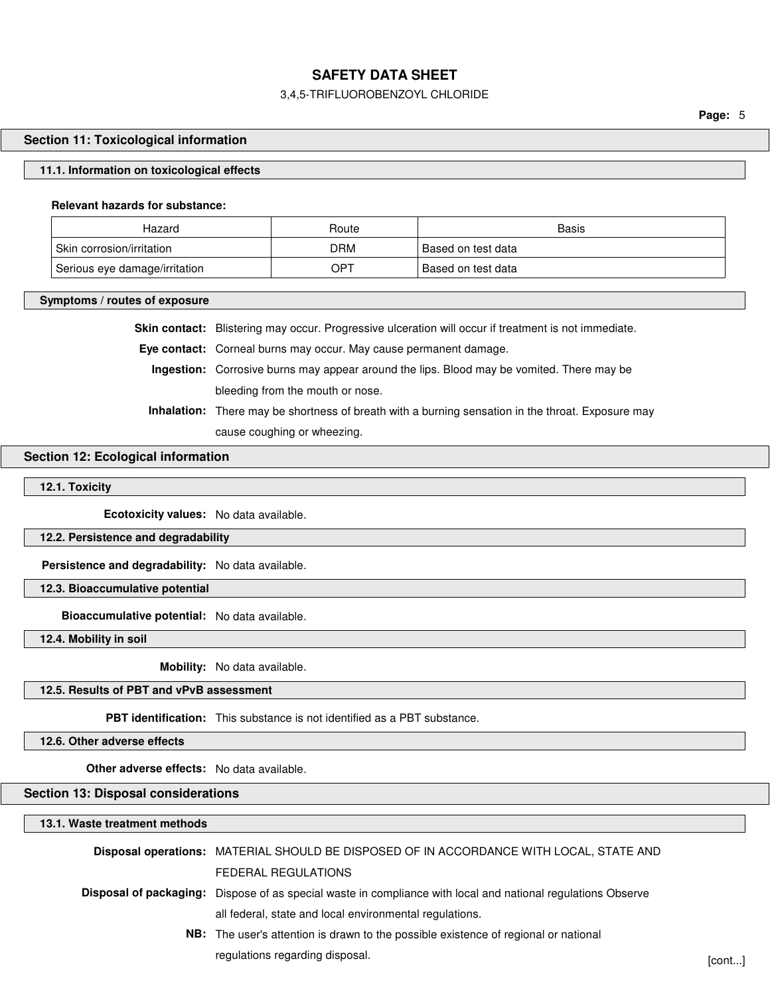### 3,4,5-TRIFLUOROBENZOYL CHLORIDE

**Page:** 5

### **Section 11: Toxicological information**

#### **11.1. Information on toxicological effects**

#### **Relevant hazards for substance:**

| Hazard                        | Route | Basis                |
|-------------------------------|-------|----------------------|
| Skin corrosion/irritation     | DRM   | ' Based on test data |
| Serious eye damage/irritation | OPT   | Based on test data   |

#### **Symptoms / routes of exposure**

**Skin contact:** Blistering may occur. Progressive ulceration will occur if treatment is not immediate.

**Eye contact:** Corneal burns may occur. May cause permanent damage.

**Ingestion:** Corrosive burns may appear around the lips. Blood may be vomited. There may be bleeding from the mouth or nose.

**Inhalation:** There may be shortness of breath with a burning sensation in the throat. Exposure may cause coughing or wheezing.

### **Section 12: Ecological information**

### **12.1. Toxicity**

**Ecotoxicity values:** No data available.

#### **12.2. Persistence and degradability**

**Persistence and degradability:** No data available.

**12.3. Bioaccumulative potential**

**Bioaccumulative potential:** No data available.

**12.4. Mobility in soil**

**Mobility:** No data available.

### **12.5. Results of PBT and vPvB assessment**

**PBT identification:** This substance is not identified as a PBT substance.

**12.6. Other adverse effects**

**Other adverse effects:** No data available.

#### **Section 13: Disposal considerations**

**13.1. Waste treatment methods**

| Disposal operations: MATERIAL SHOULD BE DISPOSED OF IN ACCORDANCE WITH LOCAL, STATE AND                             |        |
|---------------------------------------------------------------------------------------------------------------------|--------|
| FEDERAL REGULATIONS                                                                                                 |        |
| <b>Disposal of packaging:</b> Dispose of as special waste in compliance with local and national regulations Observe |        |
| all federal, state and local environmental regulations.                                                             |        |
| <b>NB:</b> The user's attention is drawn to the possible existence of regional or national                          |        |
| regulations regarding disposal.                                                                                     | [cont] |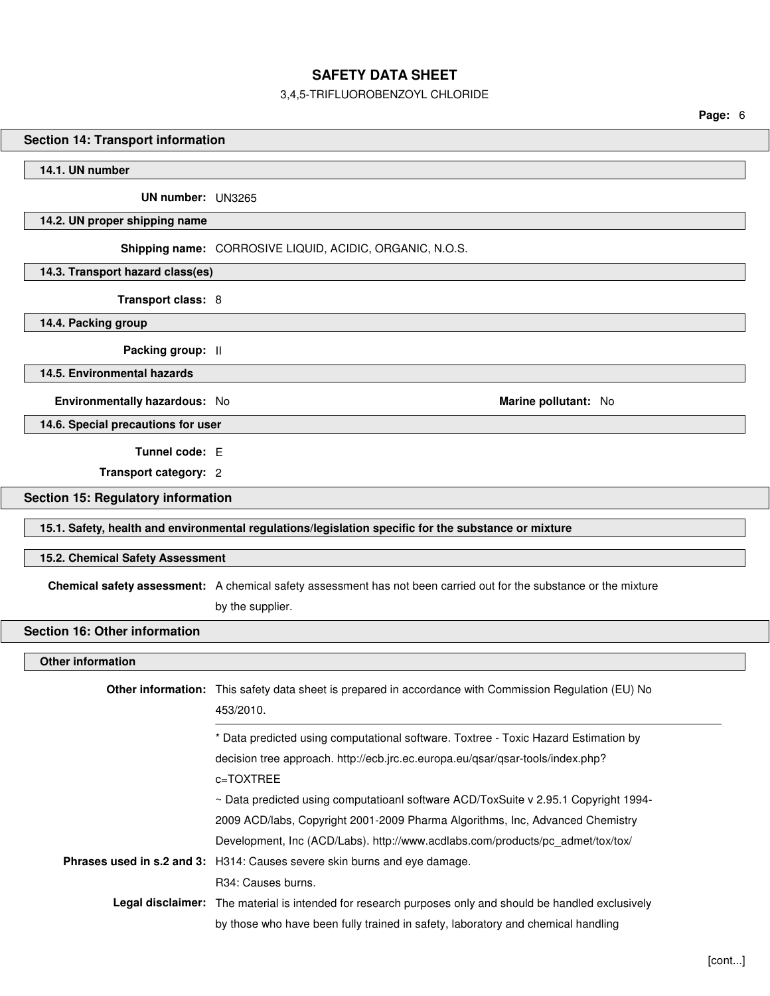# 3,4,5-TRIFLUOROBENZOYL CHLORIDE

|                                           | 0,4,0°THIL LOOHODLNZO TE OHLOHIDL                                                                                                                           |         |
|-------------------------------------------|-------------------------------------------------------------------------------------------------------------------------------------------------------------|---------|
|                                           |                                                                                                                                                             | Page: 6 |
| <b>Section 14: Transport information</b>  |                                                                                                                                                             |         |
| 14.1. UN number                           |                                                                                                                                                             |         |
|                                           |                                                                                                                                                             |         |
| UN number: UN3265                         |                                                                                                                                                             |         |
| 14.2. UN proper shipping name             |                                                                                                                                                             |         |
|                                           | Shipping name: CORROSIVE LIQUID, ACIDIC, ORGANIC, N.O.S.                                                                                                    |         |
| 14.3. Transport hazard class(es)          |                                                                                                                                                             |         |
| Transport class: 8                        |                                                                                                                                                             |         |
| 14.4. Packing group                       |                                                                                                                                                             |         |
| Packing group: II                         |                                                                                                                                                             |         |
| 14.5. Environmental hazards               |                                                                                                                                                             |         |
| Environmentally hazardous: No             | Marine pollutant: No                                                                                                                                        |         |
| 14.6. Special precautions for user        |                                                                                                                                                             |         |
|                                           |                                                                                                                                                             |         |
| Tunnel code: E                            |                                                                                                                                                             |         |
| Transport category: 2                     |                                                                                                                                                             |         |
| <b>Section 15: Regulatory information</b> |                                                                                                                                                             |         |
|                                           | 15.1. Safety, health and environmental regulations/legislation specific for the substance or mixture                                                        |         |
| 15.2. Chemical Safety Assessment          |                                                                                                                                                             |         |
|                                           | Chemical safety assessment: A chemical safety assessment has not been carried out for the substance or the mixture                                          |         |
|                                           | by the supplier.                                                                                                                                            |         |
| <b>Section 16: Other information</b>      |                                                                                                                                                             |         |
|                                           |                                                                                                                                                             |         |
| <b>Other information</b>                  |                                                                                                                                                             |         |
|                                           | Other information: This safety data sheet is prepared in accordance with Commission Regulation (EU) No                                                      |         |
|                                           | 453/2010.                                                                                                                                                   |         |
|                                           | * Data predicted using computational software. Toxtree - Toxic Hazard Estimation by                                                                         |         |
|                                           | decision tree approach. http://ecb.jrc.ec.europa.eu/qsar/qsar-tools/index.php?                                                                              |         |
|                                           | c=TOXTREE                                                                                                                                                   |         |
|                                           | ~ Data predicted using computatioanl software ACD/ToxSuite v 2.95.1 Copyright 1994-                                                                         |         |
|                                           | 2009 ACD/labs, Copyright 2001-2009 Pharma Algorithms, Inc, Advanced Chemistry                                                                               |         |
|                                           | Development, Inc (ACD/Labs). http://www.acdlabs.com/products/pc_admet/tox/tox/<br>Phrases used in s.2 and 3: H314: Causes severe skin burns and eye damage. |         |
|                                           | R34: Causes burns.                                                                                                                                          |         |
|                                           | Legal disclaimer: The material is intended for research purposes only and should be handled exclusively                                                     |         |

by those who have been fully trained in safety, laboratory and chemical handling